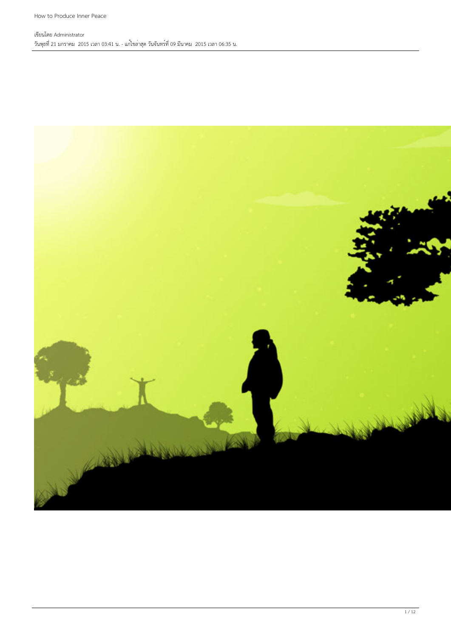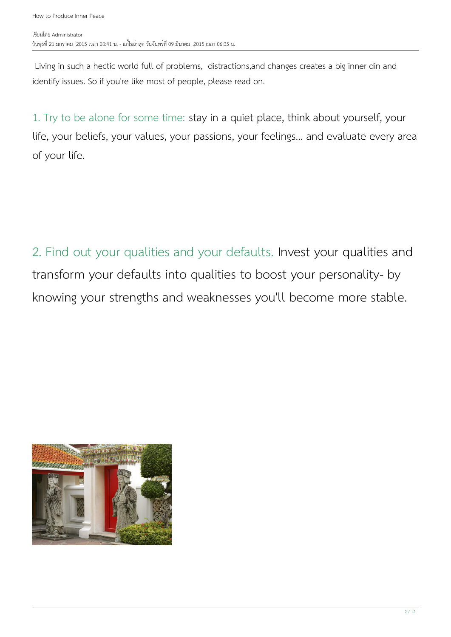Living in such a hectic world full of problems, distractions,and changes creates a big inner din and identify issues. So if you're like most of people, please read on.

1. Try to be alone for some time: stay in a quiet place, think about yourself, your life, your beliefs, your values, your passions, your feelings... and evaluate every area of your life.

2. Find out your qualities and your defaults. Invest your qualities and transform your defaults into qualities to boost your personality- by knowing your strengths and weaknesses you'll become more stable.

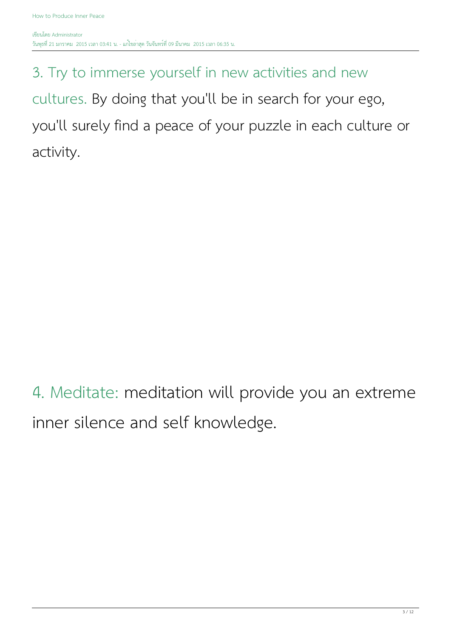3. Try to immerse yourself in new activities and new cultures. By doing that you'll be in search for your ego, you'll surely find a peace of your puzzle in each culture or activity.

4. Meditate: meditation will provide you an extreme inner silence and self knowledge.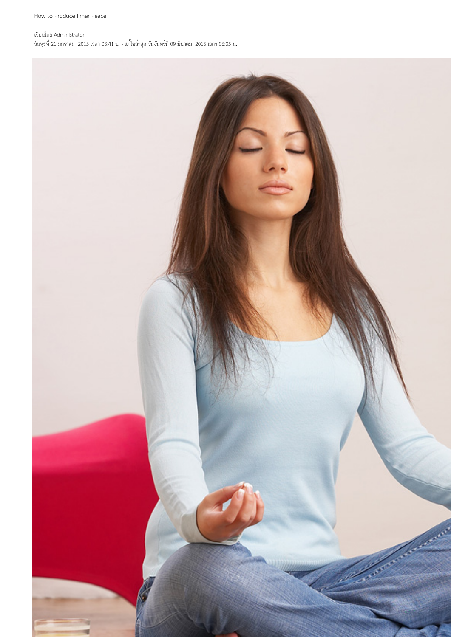#### เขียนโดย Administrator

วันพุธที่ 21 มกราคม 2015 เวลา 03:41 น. - แก้ไขล่าสุด วันจันทร์ที่ 09 มีนาคม 2015 เวลา 06:35 น.

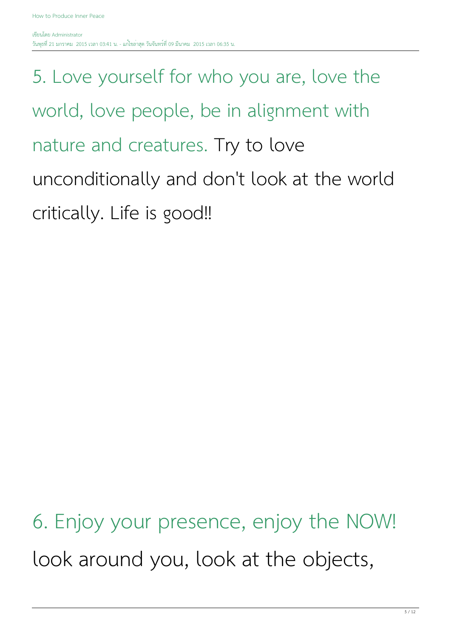5. Love yourself for who you are, love the world, love people, be in alignment with nature and creatures. Try to love unconditionally and don't look at the world critically. Life is good!!

6. Enjoy your presence, enjoy the NOW! look around you, look at the objects,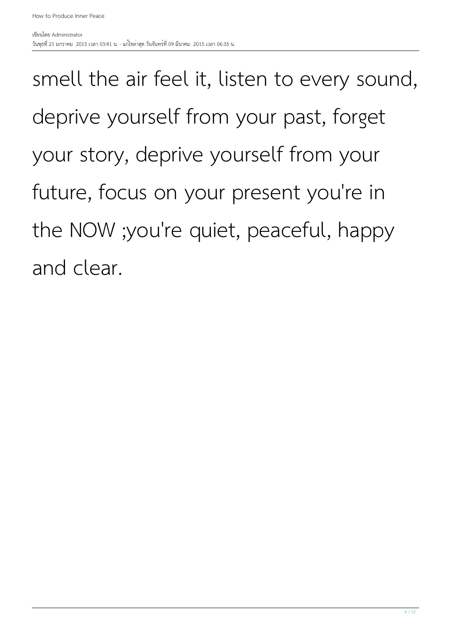smell the air feel it, listen to every sound, deprive yourself from your past, forget your story, deprive yourself from your future, focus on your present you're in the NOW ;you're quiet, peaceful, happy and clear.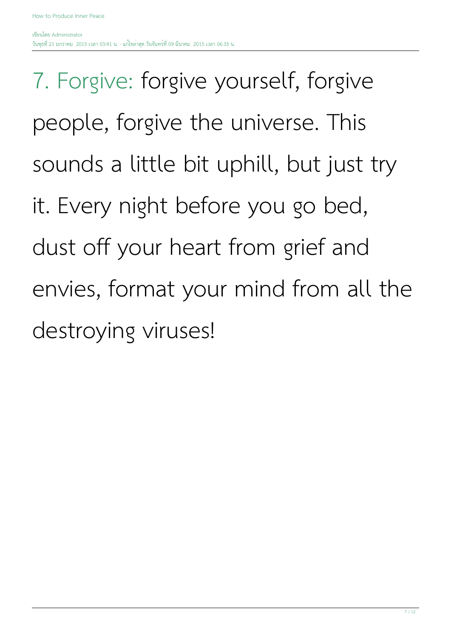7. Forgive: forgive yourself, forgive people, forgive the universe. This sounds a little bit uphill, but just try it. Every night before you go bed, dust off your heart from grief and envies, format your mind from all the destroying viruses!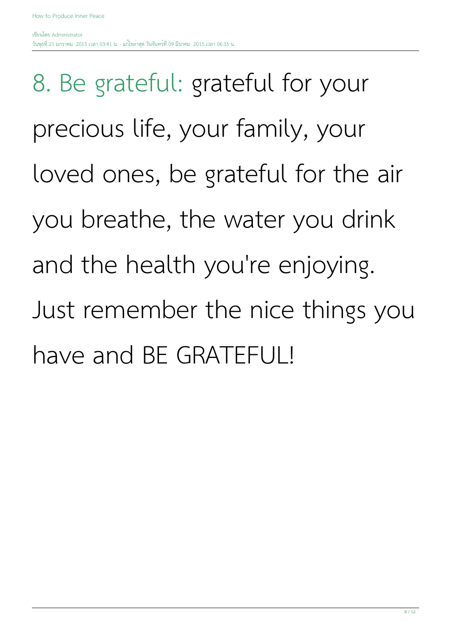8. Be grateful: grateful for your precious life, your family, your loved ones, be grateful for the air you breathe, the water you drink and the health you're enjoying. Just remember the nice things you have and BE GRATEFUL!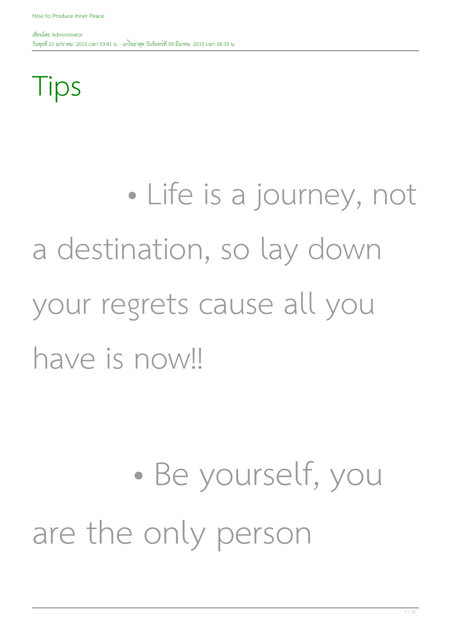#### Tips

# • Life is a journey, not a destination, so lay down your regrets cause all you have is now!!

## • Be yourself, you are the only person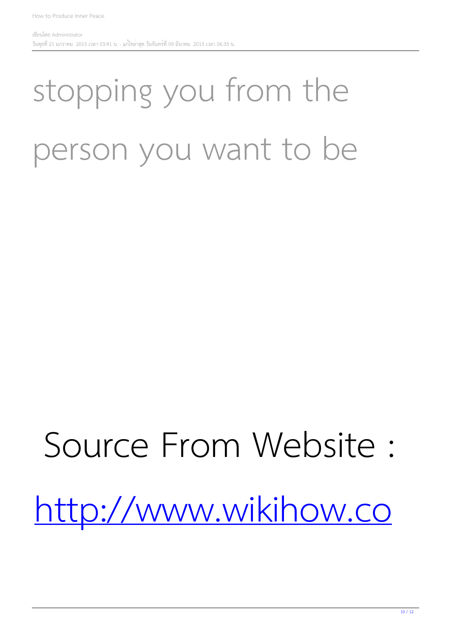## stopping you from the person you want to be

### Source From Website :

[http://www.wikihow.co](http://www.wikihow.com/)